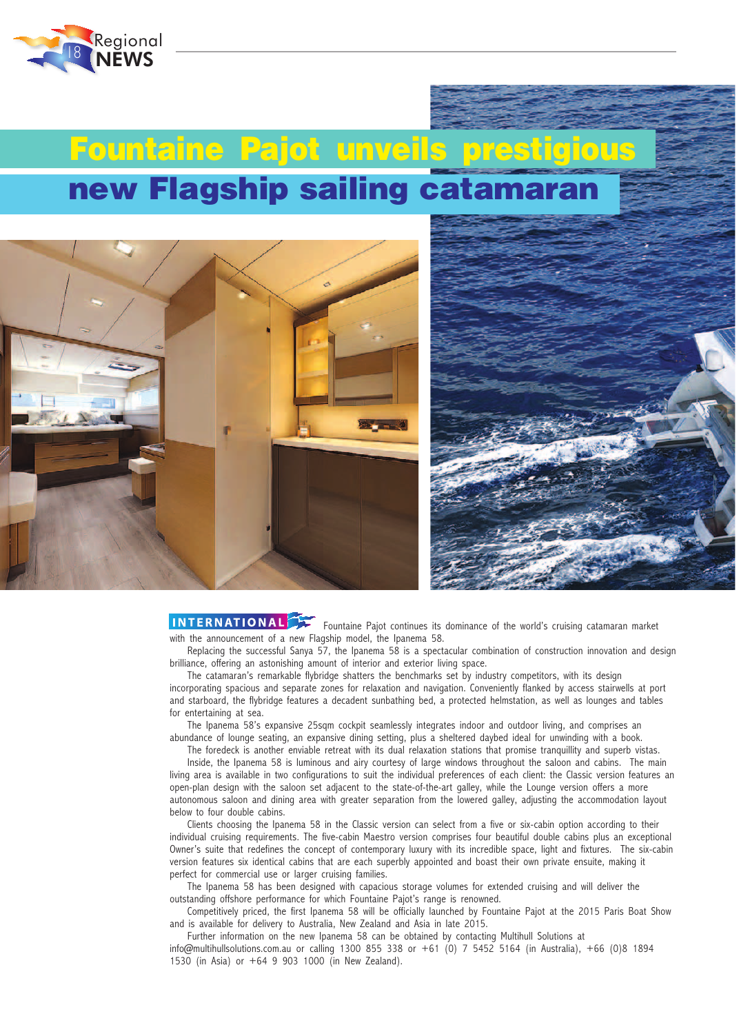

## **new Flagship sailing catamaran Fountaine Pajot unveils prestigious**





INTERNATIONAL Fountaine Pajot continues its dominance of the world's cruising catamaran market with the announcement of a new Flagship model, the Ipanema 58.

Replacing the successful Sanya 57, the Ipanema 58 is a spectacular combination of construction innovation and design brilliance, offering an astonishing amount of interior and exterior living space.

The catamaran's remarkable flybridge shatters the benchmarks set by industry competitors, with its design incorporating spacious and separate zones for relaxation and navigation. Conveniently flanked by access stairwells at port and starboard, the flybridge features a decadent sunbathing bed, a protected helmstation, as well as lounges and tables for entertaining at sea.

The Ipanema 58's expansive 25sqm cockpit seamlessly integrates indoor and outdoor living, and comprises an abundance of lounge seating, an expansive dining setting, plus a sheltered daybed ideal for unwinding with a book.

The foredeck is another enviable retreat with its dual relaxation stations that promise tranquillity and superb vistas. Inside, the Ipanema 58 is luminous and airy courtesy of large windows throughout the saloon and cabins. The main living area is available in two configurations to suit the individual preferences of each client: the Classic version features an open-plan design with the saloon set adjacent to the state-of-the-art galley, while the Lounge version offers a more autonomous saloon and dining area with greater separation from the lowered galley, adjusting the accommodation layout below to four double cabins.

Clients choosing the Ipanema 58 in the Classic version can select from a five or six-cabin option according to their individual cruising requirements. The five-cabin Maestro version comprises four beautiful double cabins plus an exceptional Owner's suite that redefines the concept of contemporary luxury with its incredible space, light and fixtures. The six-cabin version features six identical cabins that are each superbly appointed and boast their own private ensuite, making it perfect for commercial use or larger cruising families.

The Ipanema 58 has been designed with capacious storage volumes for extended cruising and will deliver the outstanding offshore performance for which Fountaine Pajot's range is renowned.

Competitively priced, the first Ipanema 58 will be officially launched by Fountaine Pajot at the 2015 Paris Boat Show and is available for delivery to Australia, New Zealand and Asia in late 2015.

Further information on the new Ipanema 58 can be obtained by contacting Multihull Solutions at info@multihullsolutions.com.au or calling 1300 855 338 or +61 (0) 7 5452 5164 (in Australia), +66 (0)8 1894 1530 (in Asia) or +64 9 903 1000 (in New Zealand).